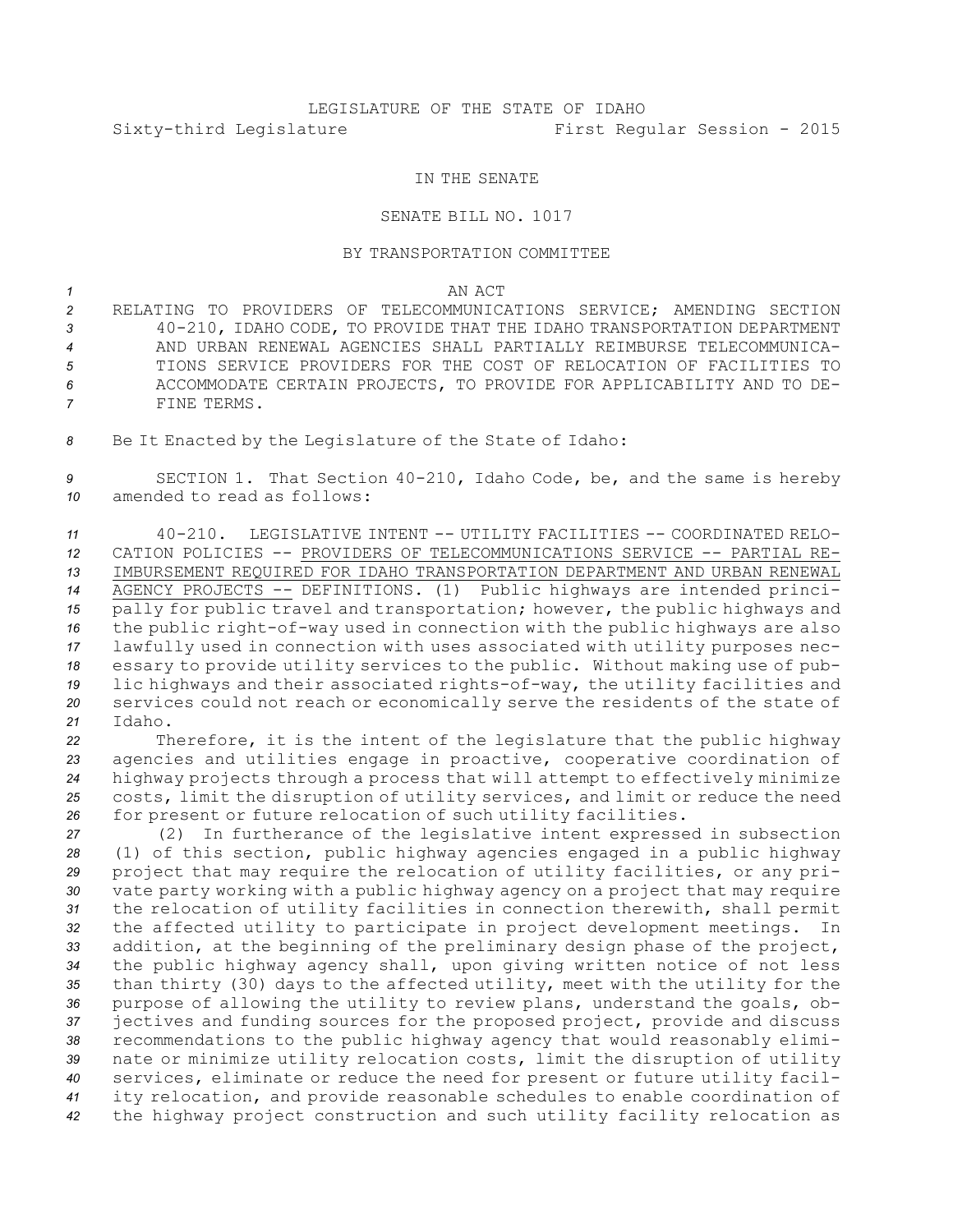## LEGISLATURE OF THE STATE OF IDAHO Sixty-third Legislature First Regular Session - 2015

## IN THE SENATE

## SENATE BILL NO. 1017

## BY TRANSPORTATION COMMITTEE

*1* AN ACT

 RELATING TO PROVIDERS OF TELECOMMUNICATIONS SERVICE; AMENDING SECTION 40-210, IDAHO CODE, TO PROVIDE THAT THE IDAHO TRANSPORTATION DEPARTMENT AND URBAN RENEWAL AGENCIES SHALL PARTIALLY REIMBURSE TELECOMMUNICA- TIONS SERVICE PROVIDERS FOR THE COST OF RELOCATION OF FACILITIES TO ACCOMMODATE CERTAIN PROJECTS, TO PROVIDE FOR APPLICABILITY AND TO DE-FINE TERMS.

*<sup>8</sup>* Be It Enacted by the Legislature of the State of Idaho:

*<sup>9</sup>* SECTION 1. That Section 40-210, Idaho Code, be, and the same is hereby *10* amended to read as follows:

 40-210. LEGISLATIVE INTENT -- UTILITY FACILITIES -- COORDINATED RELO- CATION POLICIES -- PROVIDERS OF TELECOMMUNICATIONS SERVICE -- PARTIAL RE- IMBURSEMENT REQUIRED FOR IDAHO TRANSPORTATION DEPARTMENT AND URBAN RENEWAL AGENCY PROJECTS -- DEFINITIONS. (1) Public highways are intended princi- pally for public travel and transportation; however, the public highways and the public right-of-way used in connection with the public highways are also lawfully used in connection with uses associated with utility purposes nec- essary to provide utility services to the public. Without making use of pub- lic highways and their associated rights-of-way, the utility facilities and services could not reach or economically serve the residents of the state of *21* Idaho.

 Therefore, it is the intent of the legislature that the public highway agencies and utilities engage in proactive, cooperative coordination of highway projects through <sup>a</sup> process that will attempt to effectively minimize costs, limit the disruption of utility services, and limit or reduce the need for present or future relocation of such utility facilities.

 (2) In furtherance of the legislative intent expressed in subsection (1) of this section, public highway agencies engaged in <sup>a</sup> public highway project that may require the relocation of utility facilities, or any pri- vate party working with <sup>a</sup> public highway agency on <sup>a</sup> project that may require the relocation of utility facilities in connection therewith, shall permit the affected utility to participate in project development meetings. In addition, at the beginning of the preliminary design phase of the project, the public highway agency shall, upon giving written notice of not less than thirty (30) days to the affected utility, meet with the utility for the purpose of allowing the utility to review plans, understand the goals, ob- jectives and funding sources for the proposed project, provide and discuss recommendations to the public highway agency that would reasonably elimi- nate or minimize utility relocation costs, limit the disruption of utility services, eliminate or reduce the need for present or future utility facil- ity relocation, and provide reasonable schedules to enable coordination of the highway project construction and such utility facility relocation as